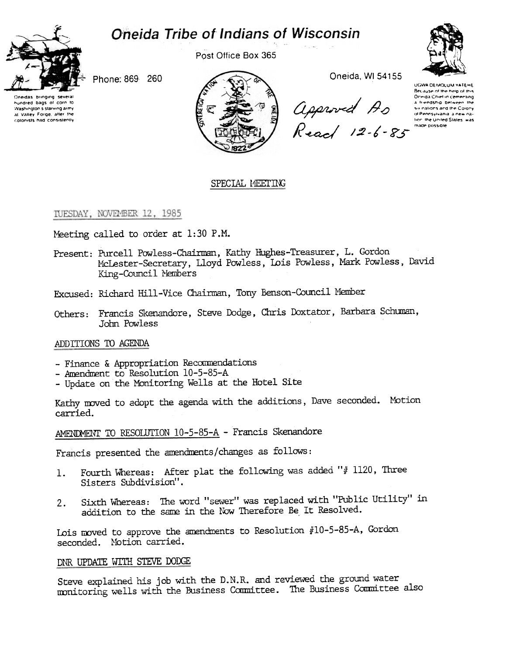# **Oneida Tribe of Indians of Wisconsin**



Post Office Box 365



Phone: 869 260

Oneidas bringing **SOVAIA** hundred bags of corn to Washington's starving army at Valley Forge, after the colonists had consistently



Oneida, WI 54155

Approved As<br>Read 12-6-85

UGWA DEMOLUM YATEHE Because of the help of this Oreiga Chief in cementing a friendship between the six nations and the Colony of Pennsylvania a new nation, the United States, was made possible

# SPECIAL MEETING

#### TUESDAY, NOVEMBER 12, 1985

Meeting called to order at 1:30 P.M.

- Present: Purcell Powless-Chairman, Kathy Hughes-Treasurer, L. Gordon McLester-Secretary, Lloyd Powless, Lois Powless, Mark Powless, David King-Council Members
- Excused: Richard Hill-Vice Chairman, Tony Benson-Council Member
- Francis Skenandore, Steve Dodge, Chris Doxtator, Barbara Schuman, Others: John Powless

### ADDITIONS TO AGENDA

- Finance & Appropriation Recommendations
- Amendment to Resolution 10-5-85-A
- Update on the Monitoring Wells at the Hotel Site

Kathy moved to adopt the agenda with the additions, Dave seconded. Motion carried.

AMENDMENT TO RESOLUTION 10-5-85-A - Francis Skenandore

Francis presented the amendments/changes as follows:

- Fourth Whereas: After plat the following was added "# 1120, Three 1. Sisters Subdivision".
- Sixth Whereas: The word "sewer" was replaced with "Public Utility" in  $2.$ addition to the same in the Now Therefore Be It Resolved.

Lois moved to approve the amendments to Resolution #10-5-85-A, Gordon seconded. Motion carried.

#### DNR UPDATE WITH STEVE DODGE

Steve explained his job with the D.N.R. and reviewed the ground water monitoring wells with the Business Committee. The Business Committee also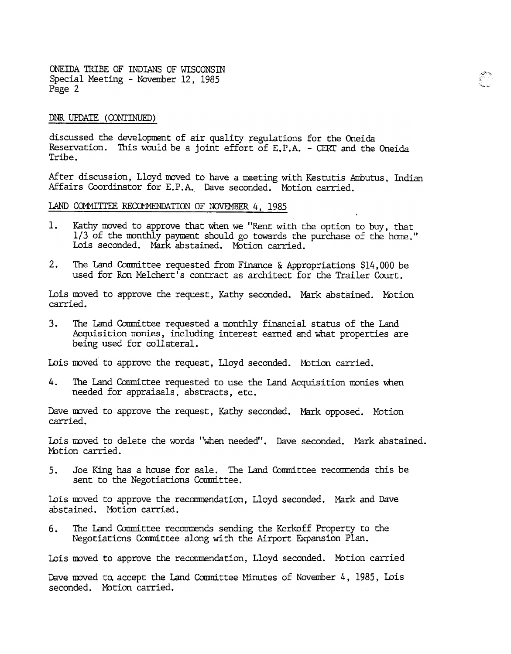ONEIDA TRIBE OF INDIANS OF WISCONSIN Special Meeting - November 12, 1985 Page 2

#### DNR UPDATE (CONTINUED)

discussed the development of air quality regulations for the Oneida Reservation. This would be a joint effort of E.P.A. - CERT and the Oneida Tribe.

After discussion, Lloyd moved to have a meeting with Kestutis Ambutus, Indian Affairs Coordinator for E.P.A. Dave seconded. Motion carried.

 $_{\rm *}$   $\,$ :""c~

# LAND COMMITTEE RECOMMENDATION OF NOVEMBER 4, 1985

- 1. Kathy moved to approve that when we "Rent with the option to buy, that 1/3 of the monthly payment should go towards the purchase of the home." Lois seconded. Mark abstained. Motion carried.
- 2. The Land Committee requested from Finance & Appropriations \$14,000 be used for Ron Melchert's contract as architect for the Trailer Court.

Lois moved to approve the request, Kathy seconded. Mark abstained. Motion carried.

 $3.$ The Land Committee requested a monthly financial status of the Land Acquisition monies, including interest earned and What properties are being used for collateral.

Lois moved to approve the request, Lloyd seconded. Motion carried.

4. The Land Committee requested to use the Land Acquisition monies when needed for appraisals, abstracts, etc.

Dave moved to approve the request, Kathy seconded. Mark opposed. Motion carried.

Lois moved to delete the words "when needed". Dave seconded. Mark abstaine Motion carried.

Joe King has a house for sale. The Land Committee recommends this be sent to the Negotiations Committee. 5.

Lois moved to approve the recommendation, Lloyd seconded. Mark and Dave abstained. Mbtion carried.

6. The Land Committee recommends sending the Kerkoff Property to the Negotiations Ccmnittee along with the Airport Fxpansion Plan.

Lois moved to approve the recommendation, Lloyd seconded. Motion carried.

Dave moved ta accept the Land Committee Minutes of November 4, 1985, Lois seconded. Motion carried.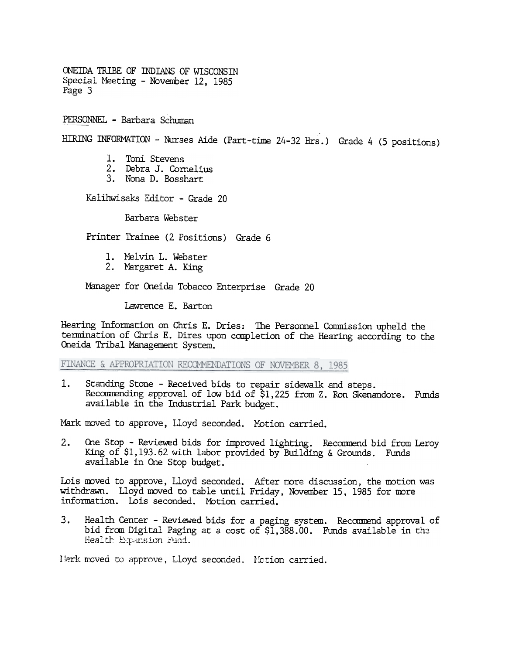ONEIDA TRIBE OF INDIANS OF WISCONSIN Special Meeting - November 12, 1985 Page 3

PERSONNEL – Barbara Schu

HIRING INFORMATION - Nurses Aide (Part-time 24-32 Hrs.) Grade 4 (5 positions)

- 1. Toni Stevens
- 2. Debra J. Cornelius
- 3. Nona D. Bosshart

Kalihwisaks Editor -Grade 20

Barbara Webster

Printer Trainee (2 Positions) Grade 6

- 1. Melvin L. Webste
- 2. Margaret A. King

Manager for Oneida Tobacco Enterprise Grade 20

Lawrence E. Barton

Hearing Information on Chris E. Dries: The Personnel Commission upheld the termination of Chris E. Dires upon completion of the Hearing according to the Cneida Tribal Management System.

FINANCE & APPROPRIATION RECOMMENDATIONS OF NOVEMBER 8, 1985

Standing Stone - Received bids to repair sidewalk and steps. 1. Recommending approval of low bid of \$1,225 from Z. Ron Skenandore. Funds available in the Industrial Park budget.

Mark moved to approve, Lloyd seconded. Motion carried.

2. One Stop - Reviewed bids for improved lighting. Recommend bid from Leroy King of \$1, 193.62 with labor provided by Building & Grounds. Funds available in One Stop budget.

Lois moved to approve, Lloyd seconded. After more discussion, the motion was withdrawn. Lloyd moved to table until Friday, November 15. 1985 for more information. Lois seconded. Motion carried.

3. Health Center - Reviewed bids for a paging system. Recommend approval of bid from Digital Paging at a cost of  $$1,388.00$ . Funds available in the Health Expansion Fund.

Nark moved to approve, Lloyd seconded. Notion carried.